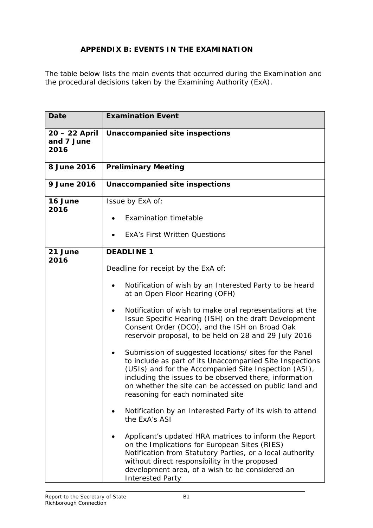## **APPENDIX B: EVENTS IN THE EXAMINATION**

The table below lists the main events that occurred during the Examination and the procedural decisions taken by the Examining Authority (ExA).

| <b>Date</b>                         | <b>Examination Event</b>                                                                                                                                                                                                                                                                                                             |
|-------------------------------------|--------------------------------------------------------------------------------------------------------------------------------------------------------------------------------------------------------------------------------------------------------------------------------------------------------------------------------------|
| 20 - 22 April<br>and 7 June<br>2016 | Unaccompanied site inspections                                                                                                                                                                                                                                                                                                       |
| 8 June 2016                         | <b>Preliminary Meeting</b>                                                                                                                                                                                                                                                                                                           |
| 9 June 2016                         | Unaccompanied site inspections                                                                                                                                                                                                                                                                                                       |
| 16 June<br>2016                     | Issue by ExA of:                                                                                                                                                                                                                                                                                                                     |
|                                     | <b>Examination timetable</b><br>$\bullet$                                                                                                                                                                                                                                                                                            |
|                                     | <b>ExA's First Written Questions</b>                                                                                                                                                                                                                                                                                                 |
| 21 June<br>2016                     | <b>DEADLINE 1</b>                                                                                                                                                                                                                                                                                                                    |
|                                     | Deadline for receipt by the ExA of:                                                                                                                                                                                                                                                                                                  |
|                                     | Notification of wish by an Interested Party to be heard<br>at an Open Floor Hearing (OFH)                                                                                                                                                                                                                                            |
|                                     | Notification of wish to make oral representations at the<br>Issue Specific Hearing (ISH) on the draft Development<br>Consent Order (DCO), and the ISH on Broad Oak<br>reservoir proposal, to be held on 28 and 29 July 2016                                                                                                          |
|                                     | Submission of suggested locations/ sites for the Panel<br>to include as part of its Unaccompanied Site Inspections<br>(USIs) and for the Accompanied Site Inspection (ASI),<br>including the issues to be observed there, information<br>on whether the site can be accessed on public land and<br>reasoning for each nominated site |
|                                     | Notification by an Interested Party of its wish to attend<br>the ExA's ASI                                                                                                                                                                                                                                                           |
|                                     | Applicant's updated HRA matrices to inform the Report<br>on the Implications for European Sites (RIES)<br>Notification from Statutory Parties, or a local authority<br>without direct responsibility in the proposed<br>development area, of a wish to be considered an<br><b>Interested Party</b>                                   |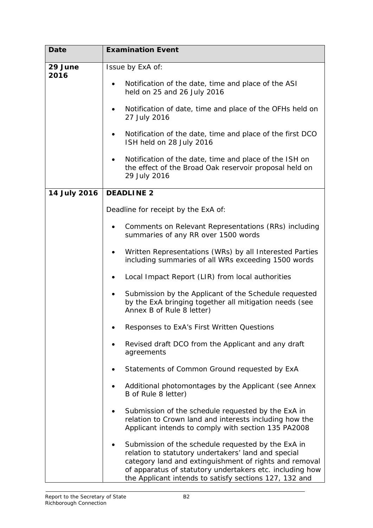| <b>Date</b>  | <b>Examination Event</b>                                                                                                                                                                                                                                                                  |
|--------------|-------------------------------------------------------------------------------------------------------------------------------------------------------------------------------------------------------------------------------------------------------------------------------------------|
| 29 June      | Issue by ExA of:                                                                                                                                                                                                                                                                          |
| 2016         |                                                                                                                                                                                                                                                                                           |
|              | Notification of the date, time and place of the ASI<br>$\bullet$<br>held on 25 and 26 July 2016                                                                                                                                                                                           |
|              | Notification of date, time and place of the OFHs held on<br>27 July 2016                                                                                                                                                                                                                  |
|              | Notification of the date, time and place of the first DCO<br>ISH held on 28 July 2016                                                                                                                                                                                                     |
|              | Notification of the date, time and place of the ISH on<br>٠<br>the effect of the Broad Oak reservoir proposal held on<br>29 July 2016                                                                                                                                                     |
| 14 July 2016 | <b>DEADLINE 2</b>                                                                                                                                                                                                                                                                         |
|              | Deadline for receipt by the ExA of:                                                                                                                                                                                                                                                       |
|              | Comments on Relevant Representations (RRs) including<br>summaries of any RR over 1500 words                                                                                                                                                                                               |
|              | Written Representations (WRs) by all Interested Parties<br>including summaries of all WRs exceeding 1500 words                                                                                                                                                                            |
|              | Local Impact Report (LIR) from local authorities<br>$\bullet$                                                                                                                                                                                                                             |
|              | Submission by the Applicant of the Schedule requested<br>by the ExA bringing together all mitigation needs (see<br>Annex B of Rule 8 letter)                                                                                                                                              |
|              | Responses to ExA's First Written Questions                                                                                                                                                                                                                                                |
|              | Revised draft DCO from the Applicant and any draft<br>agreements                                                                                                                                                                                                                          |
|              | Statements of Common Ground requested by ExA                                                                                                                                                                                                                                              |
|              | Additional photomontages by the Applicant (see Annex<br>B of Rule 8 letter)                                                                                                                                                                                                               |
|              | Submission of the schedule requested by the ExA in<br>relation to Crown land and interests including how the<br>Applicant intends to comply with section 135 PA2008                                                                                                                       |
|              | Submission of the schedule requested by the ExA in<br>relation to statutory undertakers' land and special<br>category land and extinguishment of rights and removal<br>of apparatus of statutory undertakers etc. including how<br>the Applicant intends to satisfy sections 127, 132 and |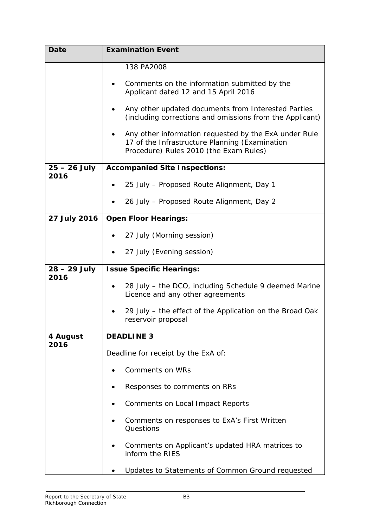| <b>Date</b>    | <b>Examination Event</b>                                                                                                                          |
|----------------|---------------------------------------------------------------------------------------------------------------------------------------------------|
|                | 138 PA2008                                                                                                                                        |
|                | Comments on the information submitted by the<br>Applicant dated 12 and 15 April 2016                                                              |
|                | Any other updated documents from Interested Parties<br>(including corrections and omissions from the Applicant)                                   |
|                | Any other information requested by the ExA under Rule<br>17 of the Infrastructure Planning (Examination<br>Procedure) Rules 2010 (the Exam Rules) |
| $25 - 26$ July | <b>Accompanied Site Inspections:</b>                                                                                                              |
| 2016           | 25 July - Proposed Route Alignment, Day 1                                                                                                         |
|                | 26 July - Proposed Route Alignment, Day 2                                                                                                         |
| 27 July 2016   | <b>Open Floor Hearings:</b>                                                                                                                       |
|                | 27 July (Morning session)                                                                                                                         |
|                | 27 July (Evening session)                                                                                                                         |
| 28 – 29 July   | <b>Issue Specific Hearings:</b>                                                                                                                   |
| 2016           | 28 July - the DCO, including Schedule 9 deemed Marine<br>Licence and any other agreements                                                         |
|                |                                                                                                                                                   |
|                | 29 July – the effect of the Application on the Broad Oak<br>reservoir proposal                                                                    |
| 4 August       | <b>DEADLINE 3</b>                                                                                                                                 |
| 2016           | Deadline for receipt by the ExA of:                                                                                                               |
|                | <b>Comments on WRs</b>                                                                                                                            |
|                | Responses to comments on RRs                                                                                                                      |
|                | <b>Comments on Local Impact Reports</b>                                                                                                           |
|                | Comments on responses to ExA's First Written<br>Questions                                                                                         |
|                | Comments on Applicant's updated HRA matrices to<br>inform the RIES                                                                                |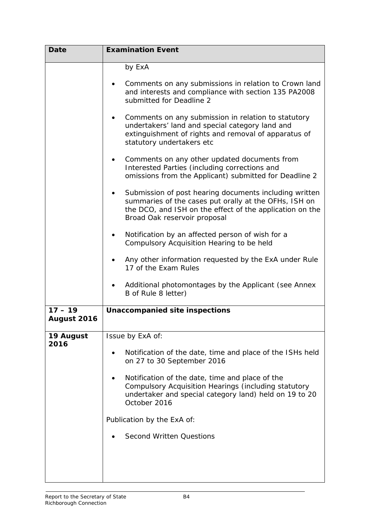| <b>Date</b>              | <b>Examination Event</b>                                                                                                                                                                                    |
|--------------------------|-------------------------------------------------------------------------------------------------------------------------------------------------------------------------------------------------------------|
|                          | by ExA<br>Comments on any submissions in relation to Crown land<br>and interests and compliance with section 135 PA2008                                                                                     |
|                          | submitted for Deadline 2<br>Comments on any submission in relation to statutory<br>undertakers' land and special category land and                                                                          |
|                          | extinguishment of rights and removal of apparatus of<br>statutory undertakers etc                                                                                                                           |
|                          | Comments on any other updated documents from<br>٠<br>Interested Parties (including corrections and<br>omissions from the Applicant) submitted for Deadline 2                                                |
|                          | Submission of post hearing documents including written<br>summaries of the cases put orally at the OFHs, ISH on<br>the DCO, and ISH on the effect of the application on the<br>Broad Oak reservoir proposal |
|                          | Notification by an affected person of wish for a<br>٠<br>Compulsory Acquisition Hearing to be held                                                                                                          |
|                          | Any other information requested by the ExA under Rule<br>17 of the Exam Rules                                                                                                                               |
|                          | Additional photomontages by the Applicant (see Annex<br>B of Rule 8 letter)                                                                                                                                 |
| $17 - 19$<br>August 2016 | Unaccompanied site inspections                                                                                                                                                                              |
| 19 August                | Issue by ExA of:                                                                                                                                                                                            |
| 2016                     | Notification of the date, time and place of the ISHs held<br>on 27 to 30 September 2016                                                                                                                     |
|                          | Notification of the date, time and place of the<br>Compulsory Acquisition Hearings (including statutory<br>undertaker and special category land) held on 19 to 20<br>October 2016                           |
|                          | Publication by the ExA of:                                                                                                                                                                                  |
|                          | <b>Second Written Questions</b>                                                                                                                                                                             |
|                          |                                                                                                                                                                                                             |
|                          |                                                                                                                                                                                                             |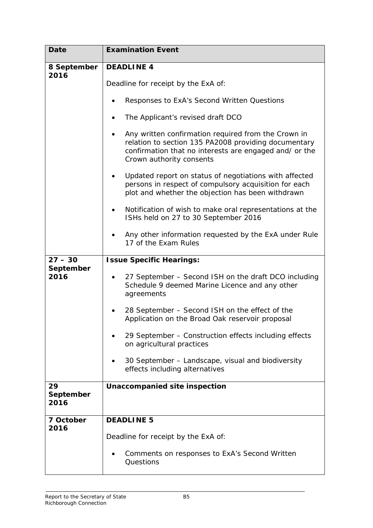| <b>Date</b>       | <b>Examination Event</b>                                                                                                                                                                               |
|-------------------|--------------------------------------------------------------------------------------------------------------------------------------------------------------------------------------------------------|
| 8 September       | <b>DEADLINE 4</b>                                                                                                                                                                                      |
| 2016              |                                                                                                                                                                                                        |
|                   | Deadline for receipt by the ExA of:                                                                                                                                                                    |
|                   | Responses to ExA's Second Written Questions                                                                                                                                                            |
|                   | The Applicant's revised draft DCO                                                                                                                                                                      |
|                   | Any written confirmation required from the Crown in<br>٠<br>relation to section 135 PA2008 providing documentary<br>confirmation that no interests are engaged and/ or the<br>Crown authority consents |
|                   | Updated report on status of negotiations with affected<br>persons in respect of compulsory acquisition for each<br>plot and whether the objection has been withdrawn                                   |
|                   | Notification of wish to make oral representations at the<br>ISHs held on 27 to 30 September 2016                                                                                                       |
|                   | Any other information requested by the ExA under Rule<br>17 of the Exam Rules                                                                                                                          |
| $27 - 30$         | <b>Issue Specific Hearings:</b>                                                                                                                                                                        |
| September<br>2016 | 27 September - Second ISH on the draft DCO including<br>Schedule 9 deemed Marine Licence and any other<br>agreements                                                                                   |
|                   | 28 September - Second ISH on the effect of the<br>Application on the Broad Oak reservoir proposal                                                                                                      |
|                   | 29 September - Construction effects including effects<br>on agricultural practices                                                                                                                     |
|                   | 30 September - Landscape, visual and biodiversity<br>effects including alternatives                                                                                                                    |
| 29                | <b>Unaccompanied site inspection</b>                                                                                                                                                                   |
| September<br>2016 |                                                                                                                                                                                                        |
| 7 October         | <b>DEADLINE 5</b>                                                                                                                                                                                      |
| 2016              |                                                                                                                                                                                                        |
|                   | Deadline for receipt by the ExA of:                                                                                                                                                                    |
|                   | Comments on responses to ExA's Second Written<br>Questions                                                                                                                                             |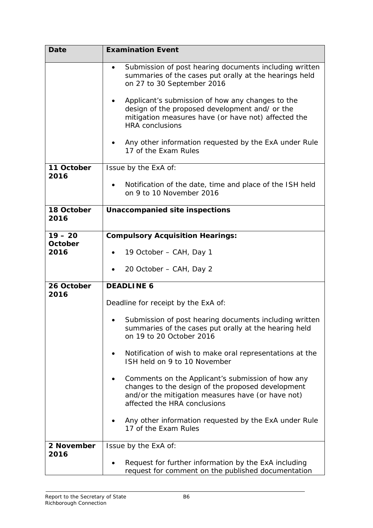| <b>Date</b>        | <b>Examination Event</b>                                                                                                                                                                    |
|--------------------|---------------------------------------------------------------------------------------------------------------------------------------------------------------------------------------------|
|                    | Submission of post hearing documents including written<br>summaries of the cases put orally at the hearings held<br>on 27 to 30 September 2016                                              |
|                    | Applicant's submission of how any changes to the<br>design of the proposed development and/ or the<br>mitigation measures have (or have not) affected the<br><b>HRA</b> conclusions         |
|                    | Any other information requested by the ExA under Rule<br>17 of the Exam Rules                                                                                                               |
| 11 October<br>2016 | Issue by the ExA of:                                                                                                                                                                        |
|                    | Notification of the date, time and place of the ISH held<br>$\bullet$<br>on 9 to 10 November 2016                                                                                           |
| 18 October<br>2016 | <b>Unaccompanied site inspections</b>                                                                                                                                                       |
| $19 - 20$          | <b>Compulsory Acquisition Hearings:</b>                                                                                                                                                     |
| October<br>2016    | 19 October – CAH, Day 1                                                                                                                                                                     |
|                    | 20 October – CAH, Day 2                                                                                                                                                                     |
| 26 October         | <b>DEADLINE 6</b>                                                                                                                                                                           |
| 2016               | Deadline for receipt by the ExA of:                                                                                                                                                         |
|                    | Submission of post hearing documents including written<br>summaries of the cases put orally at the hearing held<br>on 19 to 20 October 2016                                                 |
|                    | Notification of wish to make oral representations at the<br>ISH held on 9 to 10 November                                                                                                    |
|                    | Comments on the Applicant's submission of how any<br>changes to the design of the proposed development<br>and/or the mitigation measures have (or have not)<br>affected the HRA conclusions |
|                    | Any other information requested by the ExA under Rule<br>17 of the Exam Rules                                                                                                               |
| 2 November         | Issue by the ExA of:                                                                                                                                                                        |
| 2016               | Request for further information by the ExA including<br>request for comment on the published documentation                                                                                  |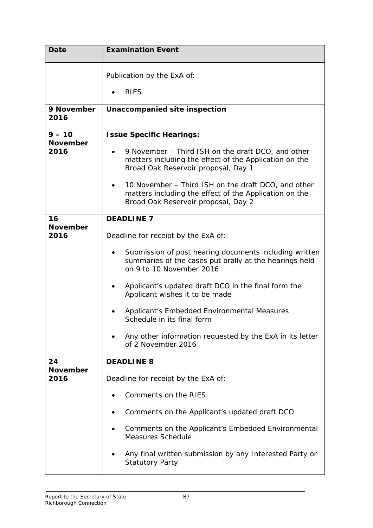| <b>Date</b>             | <b>Examination Event</b>                                                                                                                                         |
|-------------------------|------------------------------------------------------------------------------------------------------------------------------------------------------------------|
|                         | Publication by the ExA of:                                                                                                                                       |
|                         | <b>RIES</b>                                                                                                                                                      |
| 9 November<br>2016      | Unaccompanied site inspection                                                                                                                                    |
| $9 - 10$                | <b>Issue Specific Hearings:</b>                                                                                                                                  |
| <b>November</b><br>2016 | 9 November – Third ISH on the draft DCO, and other<br>$\bullet$<br>matters including the effect of the Application on the<br>Broad Oak Reservoir proposal, Day 1 |
|                         | 10 November – Third ISH on the draft DCO, and other<br>matters including the effect of the Application on the<br>Broad Oak Reservoir proposal, Day 2             |
| 16                      | <b>DEADLINE 7</b>                                                                                                                                                |
| <b>November</b><br>2016 | Deadline for receipt by the ExA of:                                                                                                                              |
|                         | Submission of post hearing documents including written<br>summaries of the cases put orally at the hearings held<br>on 9 to 10 November 2016                     |
|                         | Applicant's updated draft DCO in the final form the<br>Applicant wishes it to be made                                                                            |
|                         | Applicant's Embedded Environmental Measures<br>Schedule in its final form                                                                                        |
|                         | Any other information requested by the ExA in its letter<br>of 2 November 2016                                                                                   |
| 24                      | <b>DEADLINE 8</b>                                                                                                                                                |
| <b>November</b><br>2016 | Deadline for receipt by the ExA of:                                                                                                                              |
|                         | Comments on the RIES                                                                                                                                             |
|                         | Comments on the Applicant's updated draft DCO                                                                                                                    |
|                         | Comments on the Applicant's Embedded Environmental<br>Measures Schedule                                                                                          |
|                         | Any final written submission by any Interested Party or<br><b>Statutory Party</b>                                                                                |